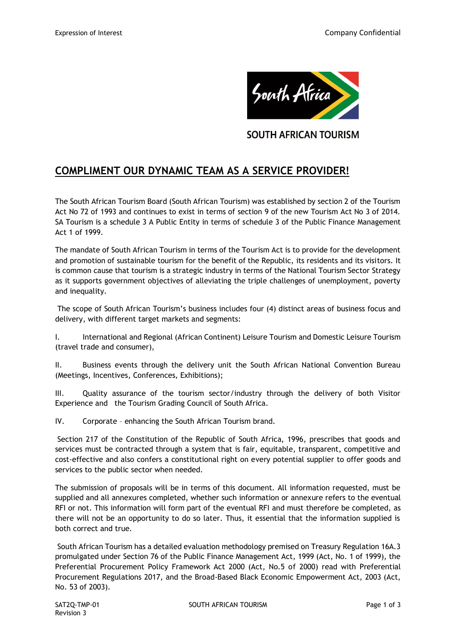

**SOUTH AFRICAN TOURISM** 

# **COMPLIMENT OUR DYNAMIC TEAM AS A SERVICE PROVIDER!**

The South African Tourism Board (South African Tourism) was established by section 2 of the Tourism Act No 72 of 1993 and continues to exist in terms of section 9 of the new Tourism Act No 3 of 2014. SA Tourism is a schedule 3 A Public Entity in terms of schedule 3 of the Public Finance Management Act 1 of 1999.

The mandate of South African Tourism in terms of the Tourism Act is to provide for the development and promotion of sustainable tourism for the benefit of the Republic, its residents and its visitors. It is common cause that tourism is a strategic industry in terms of the National Tourism Sector Strategy as it supports government objectives of alleviating the triple challenges of unemployment, poverty and inequality.

The scope of South African Tourism's business includes four (4) distinct areas of business focus and delivery, with different target markets and segments:

I. International and Regional (African Continent) Leisure Tourism and Domestic Leisure Tourism (travel trade and consumer),

II. Business events through the delivery unit the South African National Convention Bureau (Meetings, Incentives, Conferences, Exhibitions);

III. Quality assurance of the tourism sector/industry through the delivery of both Visitor Experience and the Tourism Grading Council of South Africa.

IV. Corporate – enhancing the South African Tourism brand.

Section 217 of the Constitution of the Republic of South Africa, 1996, prescribes that goods and services must be contracted through a system that is fair, equitable, transparent, competitive and cost-effective and also confers a constitutional right on every potential supplier to offer goods and services to the public sector when needed.

The submission of proposals will be in terms of this document. All information requested, must be supplied and all annexures completed, whether such information or annexure refers to the eventual RFI or not. This information will form part of the eventual RFI and must therefore be completed, as there will not be an opportunity to do so later. Thus, it essential that the information supplied is both correct and true.

South African Tourism has a detailed evaluation methodology premised on Treasury Regulation 16A.3 promulgated under Section 76 of the Public Finance Management Act, 1999 (Act, No. 1 of 1999), the Preferential Procurement Policy Framework Act 2000 (Act, No.5 of 2000) read with Preferential Procurement Regulations 2017, and the Broad-Based Black Economic Empowerment Act, 2003 (Act, No. 53 of 2003).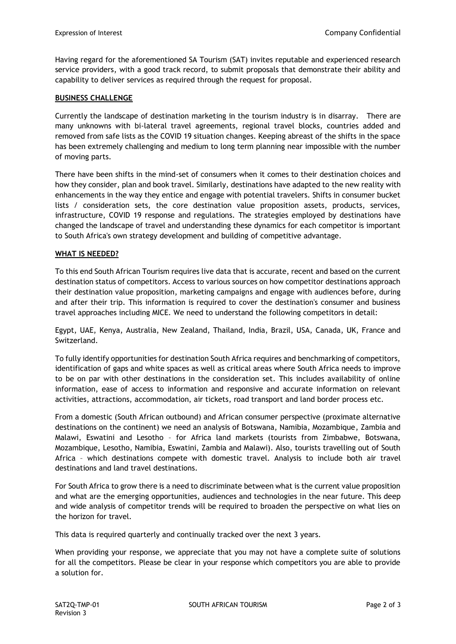Having regard for the aforementioned SA Tourism (SAT) invites reputable and experienced research service providers, with a good track record, to submit proposals that demonstrate their ability and capability to deliver services as required through the request for proposal.

# **BUSINESS CHALLENGE**

Currently the landscape of destination marketing in the tourism industry is in disarray. There are many unknowns with bi-lateral travel agreements, regional travel blocks, countries added and removed from safe lists as the COVID 19 situation changes. Keeping abreast of the shifts in the space has been extremely challenging and medium to long term planning near impossible with the number of moving parts.

There have been shifts in the mind-set of consumers when it comes to their destination choices and how they consider, plan and book travel. Similarly, destinations have adapted to the new reality with enhancements in the way they entice and engage with potential travelers. Shifts in consumer bucket lists / consideration sets, the core destination value proposition assets, products, services, infrastructure, COVID 19 response and regulations. The strategies employed by destinations have changed the landscape of travel and understanding these dynamics for each competitor is important to South Africa's own strategy development and building of competitive advantage.

### **WHAT IS NEEDED?**

To this end South African Tourism requires live data that is accurate, recent and based on the current destination status of competitors. Access to various sources on how competitor destinations approach their destination value proposition, marketing campaigns and engage with audiences before, during and after their trip. This information is required to cover the destination's consumer and business travel approaches including MICE. We need to understand the following competitors in detail:

Egypt, UAE, Kenya, Australia, New Zealand, Thailand, India, Brazil, USA, Canada, UK, France and Switzerland.

To fully identify opportunities for destination South Africa requires and benchmarking of competitors, identification of gaps and white spaces as well as critical areas where South Africa needs to improve to be on par with other destinations in the consideration set. This includes availability of online information, ease of access to information and responsive and accurate information on relevant activities, attractions, accommodation, air tickets, road transport and land border process etc.

From a domestic (South African outbound) and African consumer perspective (proximate alternative destinations on the continent) we need an analysis of Botswana, Namibia, Mozambique, Zambia and Malawi, Eswatini and Lesotho – for Africa land markets (tourists from Zimbabwe, Botswana, Mozambique, Lesotho, Namibia, Eswatini, Zambia and Malawi). Also, tourists travelling out of South Africa – which destinations compete with domestic travel. Analysis to include both air travel destinations and land travel destinations.

For South Africa to grow there is a need to discriminate between what is the current value proposition and what are the emerging opportunities, audiences and technologies in the near future. This deep and wide analysis of competitor trends will be required to broaden the perspective on what lies on the horizon for travel.

This data is required quarterly and continually tracked over the next 3 years.

When providing your response, we appreciate that you may not have a complete suite of solutions for all the competitors. Please be clear in your response which competitors you are able to provide a solution for.